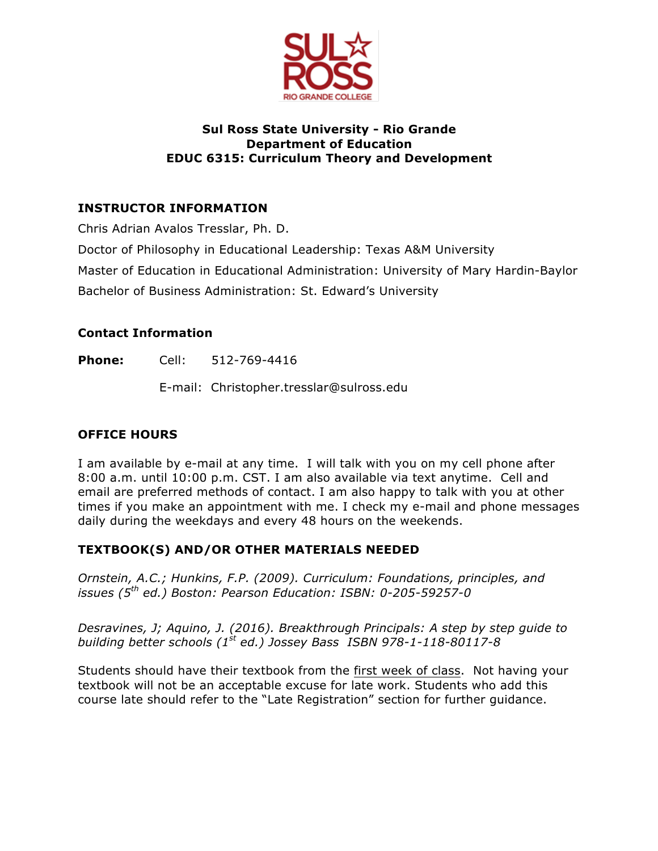

## **Sul Ross State University - Rio Grande Department of Education EDUC 6315: Curriculum Theory and Development**

# **INSTRUCTOR INFORMATION**

Chris Adrian Avalos Tresslar, Ph. D.

Doctor of Philosophy in Educational Leadership: Texas A&M University

Master of Education in Educational Administration: University of Mary Hardin-Baylor

Bachelor of Business Administration: St. Edward's University

# **Contact Information**

**Phone:** Cell: 512-769-4416

E-mail: Christopher.tresslar@sulross.edu

# **OFFICE HOURS**

I am available by e-mail at any time. I will talk with you on my cell phone after 8:00 a.m. until 10:00 p.m. CST. I am also available via text anytime. Cell and email are preferred methods of contact. I am also happy to talk with you at other times if you make an appointment with me. I check my e-mail and phone messages daily during the weekdays and every 48 hours on the weekends.

# **TEXTBOOK(S) AND/OR OTHER MATERIALS NEEDED**

*Ornstein, A.C.; Hunkins, F.P. (2009). Curriculum: Foundations, principles, and issues (5th ed.) Boston: Pearson Education: ISBN: 0-205-59257-0*

*Desravines, J; Aquino, J. (2016). Breakthrough Principals: A step by step guide to building better schools (1st ed.) Jossey Bass ISBN 978-1-118-80117-8*

Students should have their textbook from the first week of class. Not having your textbook will not be an acceptable excuse for late work. Students who add this course late should refer to the "Late Registration" section for further guidance.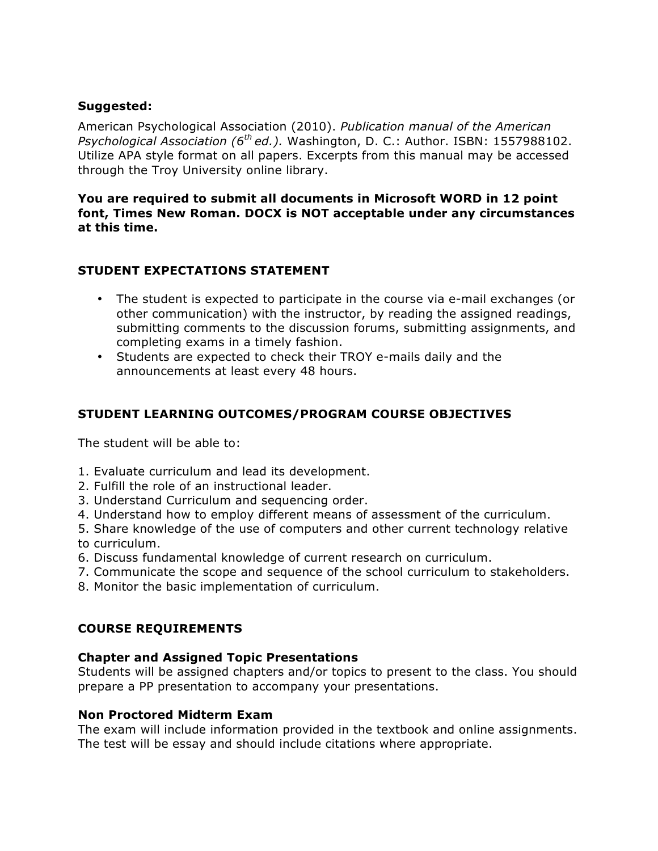## **Suggested:**

American Psychological Association (2010). *Publication manual of the American Psychological Association (6th ed.).* Washington, D. C.: Author. ISBN: 1557988102. Utilize APA style format on all papers. Excerpts from this manual may be accessed through the Troy University online library.

### **You are required to submit all documents in Microsoft WORD in 12 point font, Times New Roman. DOCX is NOT acceptable under any circumstances at this time.**

# **STUDENT EXPECTATIONS STATEMENT**

- The student is expected to participate in the course via e-mail exchanges (or other communication) with the instructor, by reading the assigned readings, submitting comments to the discussion forums, submitting assignments, and completing exams in a timely fashion.
- Students are expected to check their TROY e-mails daily and the announcements at least every 48 hours.

# **STUDENT LEARNING OUTCOMES/PROGRAM COURSE OBJECTIVES**

The student will be able to:

- 1. Evaluate curriculum and lead its development.
- 2. Fulfill the role of an instructional leader.
- 3. Understand Curriculum and sequencing order.
- 4. Understand how to employ different means of assessment of the curriculum.
- 5. Share knowledge of the use of computers and other current technology relative to curriculum.
- 6. Discuss fundamental knowledge of current research on curriculum.
- 7. Communicate the scope and sequence of the school curriculum to stakeholders.
- 8. Monitor the basic implementation of curriculum.

## **COURSE REQUIREMENTS**

### **Chapter and Assigned Topic Presentations**

Students will be assigned chapters and/or topics to present to the class. You should prepare a PP presentation to accompany your presentations.

### **Non Proctored Midterm Exam**

The exam will include information provided in the textbook and online assignments. The test will be essay and should include citations where appropriate.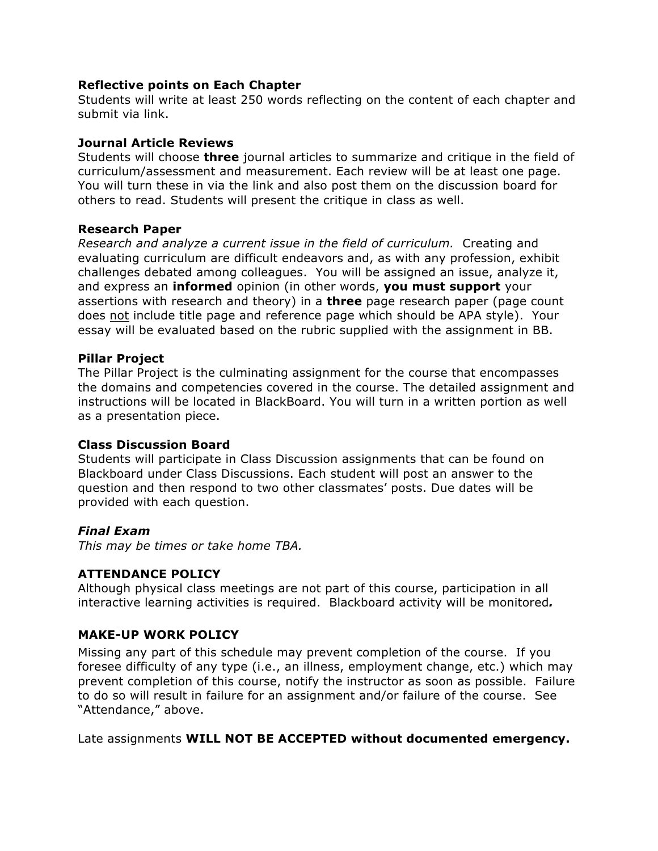### **Reflective points on Each Chapter**

Students will write at least 250 words reflecting on the content of each chapter and submit via link.

### **Journal Article Reviews**

Students will choose **three** journal articles to summarize and critique in the field of curriculum/assessment and measurement. Each review will be at least one page. You will turn these in via the link and also post them on the discussion board for others to read. Students will present the critique in class as well.

### **Research Paper**

*Research and analyze a current issue in the field of curriculum.* Creating and evaluating curriculum are difficult endeavors and, as with any profession, exhibit challenges debated among colleagues. You will be assigned an issue, analyze it, and express an **informed** opinion (in other words, **you must support** your assertions with research and theory) in a **three** page research paper (page count does not include title page and reference page which should be APA style). Your essay will be evaluated based on the rubric supplied with the assignment in BB.

### **Pillar Project**

The Pillar Project is the culminating assignment for the course that encompasses the domains and competencies covered in the course. The detailed assignment and instructions will be located in BlackBoard. You will turn in a written portion as well as a presentation piece.

## **Class Discussion Board**

Students will participate in Class Discussion assignments that can be found on Blackboard under Class Discussions. Each student will post an answer to the question and then respond to two other classmates' posts. Due dates will be provided with each question.

## *Final Exam*

*This may be times or take home TBA.*

## **ATTENDANCE POLICY**

Although physical class meetings are not part of this course, participation in all interactive learning activities is required. Blackboard activity will be monitored*.*

## **MAKE-UP WORK POLICY**

Missing any part of this schedule may prevent completion of the course. If you foresee difficulty of any type (i.e., an illness, employment change, etc.) which may prevent completion of this course, notify the instructor as soon as possible. Failure to do so will result in failure for an assignment and/or failure of the course. See "Attendance," above.

Late assignments **WILL NOT BE ACCEPTED without documented emergency.**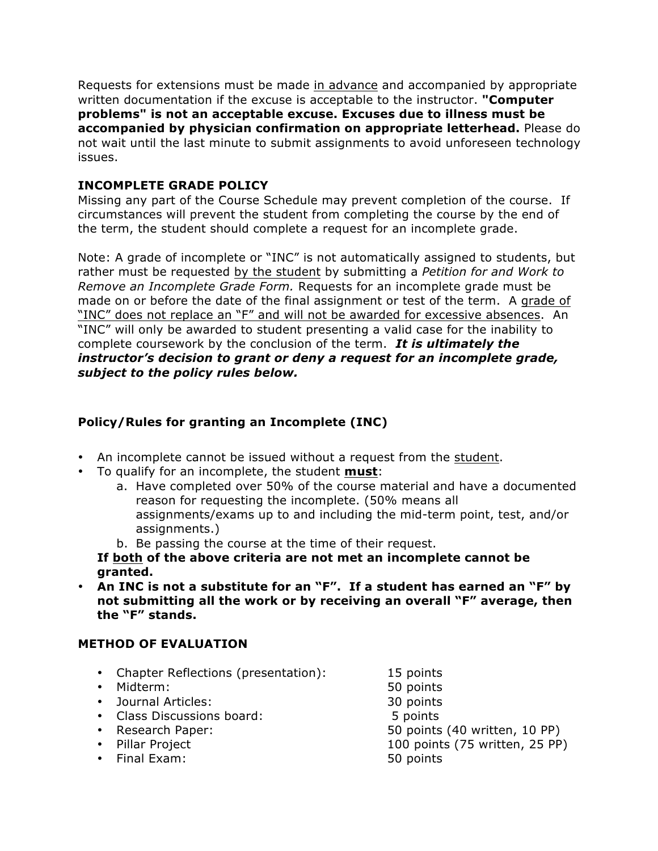Requests for extensions must be made in advance and accompanied by appropriate written documentation if the excuse is acceptable to the instructor. **"Computer problems" is not an acceptable excuse. Excuses due to illness must be accompanied by physician confirmation on appropriate letterhead.** Please do not wait until the last minute to submit assignments to avoid unforeseen technology issues.

## **INCOMPLETE GRADE POLICY**

Missing any part of the Course Schedule may prevent completion of the course. If circumstances will prevent the student from completing the course by the end of the term, the student should complete a request for an incomplete grade.

Note: A grade of incomplete or "INC" is not automatically assigned to students, but rather must be requested by the student by submitting a *Petition for and Work to Remove an Incomplete Grade Form.* Requests for an incomplete grade must be made on or before the date of the final assignment or test of the term. A grade of "INC" does not replace an "F" and will not be awarded for excessive absences. An "INC" will only be awarded to student presenting a valid case for the inability to complete coursework by the conclusion of the term. *It is ultimately the instructor's decision to grant or deny a request for an incomplete grade, subject to the policy rules below.* 

## **Policy/Rules for granting an Incomplete (INC)**

- An incomplete cannot be issued without a request from the student.
- To qualify for an incomplete, the student **must**:
	- a. Have completed over 50% of the course material and have a documented reason for requesting the incomplete. (50% means all assignments/exams up to and including the mid-term point, test, and/or assignments.)
	- b. Be passing the course at the time of their request.
	- **If both of the above criteria are not met an incomplete cannot be granted.**
- **An INC is not a substitute for an "F". If a student has earned an "F" by not submitting all the work or by receiving an overall "F" average, then the "F" stands.**

## **METHOD OF EVALUATION**

- Chapter Reflections (presentation): 15 points
- Midterm: 50 points
- 
- Journal Articles: 30 points<br>• Class Discussions board: 5 points • Class Discussions board:
- 
- 
- Final Exam: 50 points

• Research Paper: 50 points (40 written, 10 PP)<br>• Pillar Project 100 points (75 written, 25 PP) 100 points (75 written, 25 PP)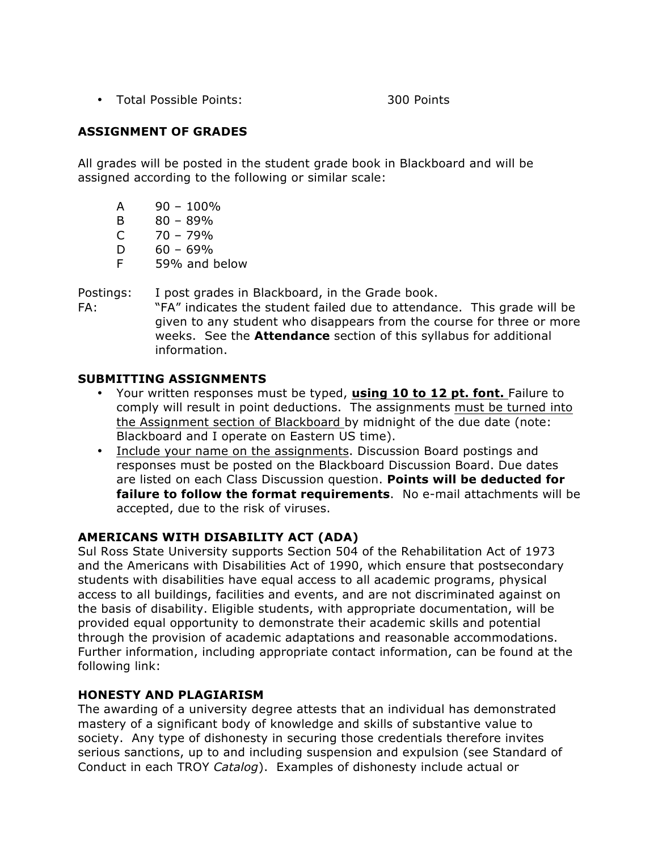• Total Possible Points: 300 Points

## **ASSIGNMENT OF GRADES**

All grades will be posted in the student grade book in Blackboard and will be assigned according to the following or similar scale:

- $A = 90 100\%$
- B  $80 89\%$
- $C = 70 79%$
- $D = 60 69\%$
- F 59% and below

Postings: I post grades in Blackboard, in the Grade book.

FA: "FA" indicates the student failed due to attendance. This grade will be given to any student who disappears from the course for three or more weeks. See the **Attendance** section of this syllabus for additional information.

### **SUBMITTING ASSIGNMENTS**

- Your written responses must be typed, **using 10 to 12 pt. font.** Failure to comply will result in point deductions. The assignments must be turned into the Assignment section of Blackboard by midnight of the due date (note: Blackboard and I operate on Eastern US time).
- Include your name on the assignments. Discussion Board postings and responses must be posted on the Blackboard Discussion Board. Due dates are listed on each Class Discussion question. **Points will be deducted for failure to follow the format requirements**. No e-mail attachments will be accepted, due to the risk of viruses.

## **AMERICANS WITH DISABILITY ACT (ADA)**

Sul Ross State University supports Section 504 of the Rehabilitation Act of 1973 and the Americans with Disabilities Act of 1990, which ensure that postsecondary students with disabilities have equal access to all academic programs, physical access to all buildings, facilities and events, and are not discriminated against on the basis of disability. Eligible students, with appropriate documentation, will be provided equal opportunity to demonstrate their academic skills and potential through the provision of academic adaptations and reasonable accommodations. Further information, including appropriate contact information, can be found at the following link:

### **HONESTY AND PLAGIARISM**

The awarding of a university degree attests that an individual has demonstrated mastery of a significant body of knowledge and skills of substantive value to society. Any type of dishonesty in securing those credentials therefore invites serious sanctions, up to and including suspension and expulsion (see Standard of Conduct in each TROY *Catalog*). Examples of dishonesty include actual or